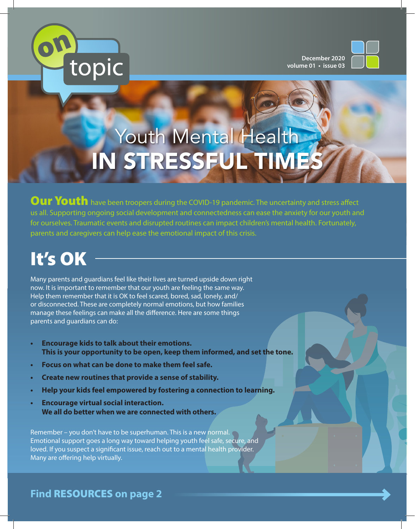

**December 2020 volume 01 • issue 03**



# Youth Mental Health IN STRESSFUL TIMES

Our Youth have been troopers during the COVID-19 pandemic. The uncertainty and stress affect us all. Supporting ongoing social development and connectedness can ease the anxiety for our youth and for ourselves. Traumatic events and disrupted routines can impact children's mental health. Fortunately, parents and caregivers can help ease the emotional impact of this crisis.

# It's OK

Many parents and guardians feel like their lives are turned upside down right now. It is important to remember that our youth are feeling the same way. Help them remember that it is OK to feel scared, bored, sad, lonely, and/ or disconnected. These are completely normal emotions, but how families manage these feelings can make all the difference. Here are some things parents and guardians can do:

- **• Encourage kids to talk about their emotions. This is your opportunity to be open, keep them informed, and set the tone.**
- **• Focus on what can be done to make them feel safe.**
- **• Create new routines that provide a sense of stability.**
- **• Help your kids feel empowered by fostering a connection to learning.**
- **• Encourage virtual social interaction. We all do better when we are connected with others.**

Remember – you don't have to be superhuman. This is a new normal. Emotional support goes a long way toward helping youth feel safe, secure, and loved. If you suspect a significant issue, reach out to a mental health provider. Many are offering help virtually.

**Find** RESOURCES **on page 2**